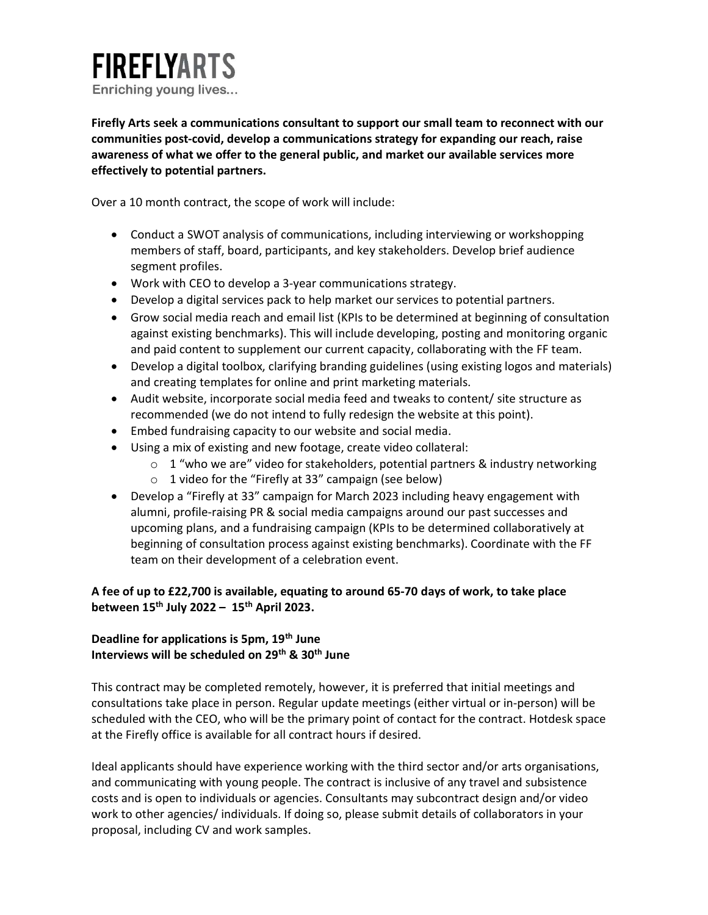# **FIREFLYARTS** Enriching young lives...

Firefly Arts seek a communications consultant to support our small team to reconnect with our communities post-covid, develop a communications strategy for expanding our reach, raise awareness of what we offer to the general public, and market our available services more effectively to potential partners.

Over a 10 month contract, the scope of work will include:

- Conduct a SWOT analysis of communications, including interviewing or workshopping members of staff, board, participants, and key stakeholders. Develop brief audience segment profiles.
- Work with CEO to develop a 3-year communications strategy.
- Develop a digital services pack to help market our services to potential partners.
- Grow social media reach and email list (KPIs to be determined at beginning of consultation against existing benchmarks). This will include developing, posting and monitoring organic and paid content to supplement our current capacity, collaborating with the FF team.
- Develop a digital toolbox, clarifying branding guidelines (using existing logos and materials) and creating templates for online and print marketing materials.
- Audit website, incorporate social media feed and tweaks to content/ site structure as recommended (we do not intend to fully redesign the website at this point).
- Embed fundraising capacity to our website and social media.
- Using a mix of existing and new footage, create video collateral:
	- $\circ$  1 "who we are" video for stakeholders, potential partners & industry networking
	- o 1 video for the "Firefly at 33" campaign (see below)
- Develop a "Firefly at 33" campaign for March 2023 including heavy engagement with alumni, profile-raising PR & social media campaigns around our past successes and upcoming plans, and a fundraising campaign (KPIs to be determined collaboratively at beginning of consultation process against existing benchmarks). Coordinate with the FF team on their development of a celebration event.

# A fee of up to £22,700 is available, equating to around 65-70 days of work, to take place between  $15<sup>th</sup>$  July 2022 –  $15<sup>th</sup>$  April 2023.

# Deadline for applications is 5pm, 19<sup>th</sup> June Interviews will be scheduled on 29<sup>th</sup> & 30<sup>th</sup> June

This contract may be completed remotely, however, it is preferred that initial meetings and consultations take place in person. Regular update meetings (either virtual or in-person) will be scheduled with the CEO, who will be the primary point of contact for the contract. Hotdesk space at the Firefly office is available for all contract hours if desired.

Ideal applicants should have experience working with the third sector and/or arts organisations, and communicating with young people. The contract is inclusive of any travel and subsistence costs and is open to individuals or agencies. Consultants may subcontract design and/or video work to other agencies/ individuals. If doing so, please submit details of collaborators in your proposal, including CV and work samples.